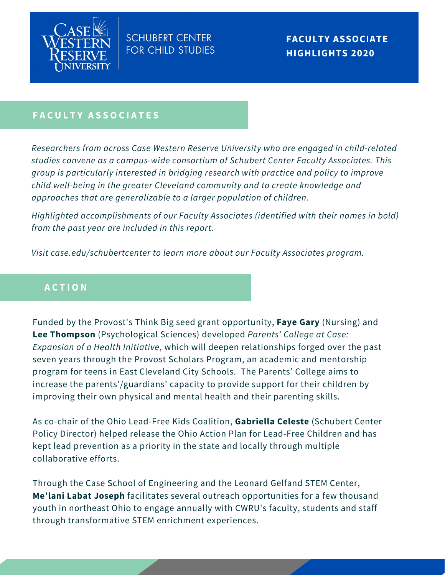

**FACULTY ASSOCIATE HIGHLIGHTS 2020**

### **F A C U L T Y A S S O C I A T E S**

*Researchers from across Case Western Reserve University who are engaged in child-related studies convene as a campus-wide consortium of Schubert Center Faculty Associates. This group is particularly interested in bridging research with practice and policy to improve child well-being in the greater Cleveland community and to create knowledge and approaches that are generalizable to a larger population of children.*

*Highlighted accomplishments of our Faculty Associates (identified with their names in bold) from the past year are included in this report.*

*Visit case.edu/schubertcenter to learn more about our Faculty Associates program.*

## **A C T I O N**

Funded by the Provost's Think Big seed grant opportunity, **Faye Gary** (Nursing) and **Lee Thompson** (Psychological Sciences) developed *Parents' College at Case: Expansion of a Health Initiative*, which will deepen relationships forged over the past seven years through the Provost Scholars Program, an academic and mentorship program for teens in East Cleveland City Schools. The Parents' College aims to increase the parents'/guardians' capacity to provide support for their children by improving their own physical and mental health and their parenting skills.

As co-chair of the Ohio Lead-Free Kids Coalition, **Gabriella Celeste** (Schubert Center Policy Director) helped release the Ohio Action Plan for Lead-Free Children and has kept lead prevention as a priority in the state and locally through multiple collaborative efforts.

Through the Case School of Engineering and the Leonard Gelfand STEM Center, **Me'lani Labat Joseph** facilitates several outreach opportunities for a few thousand youth in northeast Ohio to engage annually with CWRU's faculty, students and staff through transformative STEM enrichment experiences.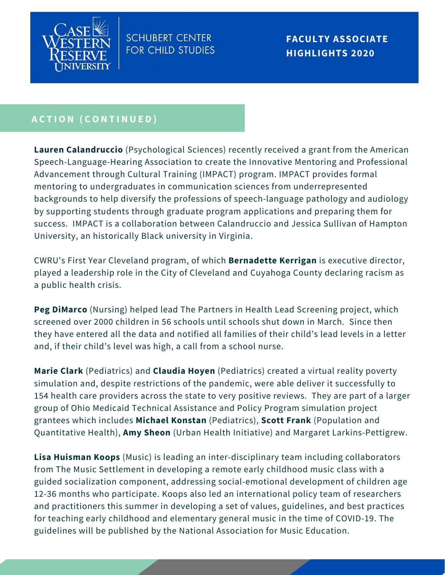

**FACULTY ASSOCIATE HIGHLIGHTS 2020**

# **A C T I O N ( C O N T I N U E D )**

**Lauren Calandruccio** (Psychological Sciences) recently received a grant from the American Speech-Language-Hearing Association to create the Innovative Mentoring and Professional Advancement through Cultural Training (IMPACT) program. IMPACT provides formal mentoring to undergraduates in communication sciences from underrepresented backgrounds to help diversify the professions of speech-language pathology and audiology by supporting students through graduate program applications and preparing them for success. IMPACT is a collaboration between Calandruccio and Jessica Sullivan of Hampton University, an historically Black university in Virginia.

CWRU's First Year Cleveland program, of which **Bernadette Kerrigan** is executive director, played a leadership role in the City of Cleveland and Cuyahoga County declaring racism as a public health crisis.

**Peg DiMarco** (Nursing) helped lead The Partners in Health Lead Screening project, which screened over 2000 children in 56 schools until schools shut down in March. Since then they have entered all the data and notified all families of their child's lead levels in a letter and, if their child's level was high, a call from a school nurse.

**Marie Clark** (Pediatrics) and **Claudia Hoyen** (Pediatrics) created a virtual reality poverty simulation and, despite restrictions of the pandemic, were able deliver it successfully to 154 health care providers across the state to very positive reviews. They are part of a larger group of Ohio Medicaid Technical Assistance and Policy Program simulation project grantees which includes **Michael Konstan** (Pediatrics), **Scott Frank** (Population and Quantitative Health), **Amy Sheon** (Urban Health Initiative) and Margaret Larkins-Pettigrew.

**Lisa Huisman Koops** (Music) is leading an inter-disciplinary team including collaborators from The Music Settlement in developing a remote early childhood music class with a guided socialization component, addressing social-emotional development of children age 12-36 months who participate. Koops also led an international policy team of researchers and practitioners this summer in developing a set of values, guidelines, and best practices for teaching early childhood and elementary general music in the time of COVID-19. The guidelines will be published by the National Association for Music Education.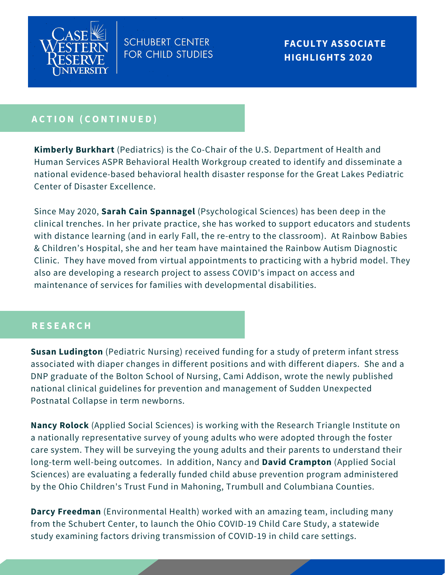

# **A C T I O N ( C O N T I N U E D )**

**Kimberly Burkhart** (Pediatrics) is the Co-Chair of the U.S. Department of Health and Human Services ASPR Behavioral Health Workgroup created to identify and disseminate a national evidence-based behavioral health disaster response for the Great Lakes Pediatric Center of Disaster Excellence.

Since May 2020, **Sarah Cain Spannagel** (Psychological Sciences) has been deep in the clinical trenches. In her private practice, she has worked to support educators and students with distance learning (and in early Fall, the re-entry to the classroom). At Rainbow Babies & Children's Hospital, she and her team have maintained the Rainbow Autism Diagnostic Clinic. They have moved from virtual appointments to practicing with a hybrid model. They also are developing a research project to assess COVID's impact on access and maintenance of services for families with developmental disabilities.

#### **R E S E A R C H**

**Susan Ludington** (Pediatric Nursing) received funding for a study of preterm infant stress associated with diaper changes in different positions and with different diapers. She and a DNP graduate of the Bolton School of Nursing, Cami Addison, wrote the newly published national clinical guidelines for prevention and management of Sudden Unexpected Postnatal Collapse in term newborns.

**Nancy Rolock** (Applied Social Sciences) is working with the Research Triangle Institute on a nationally representative survey of young adults who were adopted through the foster care system. They will be surveying the young adults and their parents to understand their long-term well-being outcomes. In addition, Nancy and **David Crampton** (Applied Social Sciences) are evaluating a federally funded child abuse prevention program administered by the Ohio Children's Trust Fund in Mahoning, Trumbull and Columbiana Counties.

**Darcy Freedman** (Environmental Health) worked with an amazing team, including many from the Schubert Center, to launch the Ohio COVID-19 Child Care Study, a statewide study examining factors driving transmission of COVID-19 in child care settings.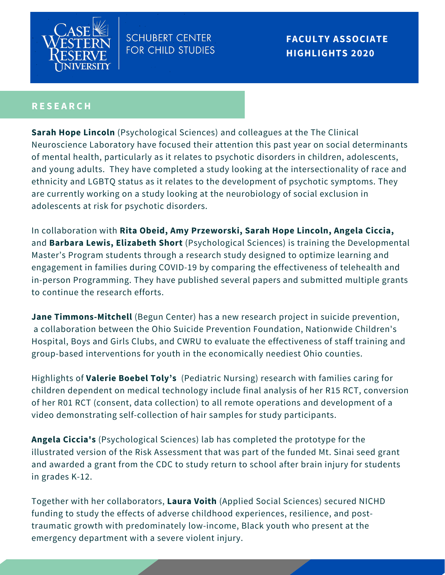

**FACULTY ASSOCIATE HIGHLIGHTS 2020**

### **R E S E A R C H**

**Sarah Hope Lincoln** (Psychological Sciences) and colleagues at the The Clinical Neuroscience Laboratory have focused their attention this past year on social determinants of mental health, particularly as it relates to psychotic disorders in children, adolescents, and young adults. They have completed a study looking at the intersectionality of race and ethnicity and LGBTQ status as it relates to the development of psychotic symptoms. They are currently working on a study looking at the neurobiology of social exclusion in adolescents at risk for psychotic disorders.

In collaboration with **Rita Obeid, Amy Przeworski, Sarah Hope Lincoln, Angela Ciccia,** and **Barbara Lewis, Elizabeth Short** (Psychological Sciences) is training the Developmental Master's Program students through a research study designed to optimize learning and engagement in families during COVID-19 by comparing the effectiveness of telehealth and in-person Programming. They have published several papers and submitted multiple grants to continue the research efforts.

**Jane Timmons-Mitchell** (Begun Center) has a new research project in suicide prevention, a collaboration between the Ohio Suicide Prevention Foundation, Nationwide Children's Hospital, Boys and Girls Clubs, and CWRU to evaluate the effectiveness of staff training and group-based interventions for youth in the economically neediest Ohio counties.

Highlights of **Valerie Boebel Toly's** (Pediatric Nursing) research with families caring for children dependent on medical technology include final analysis of her R15 RCT, conversion of her R01 RCT (consent, data collection) to all remote operations and development of a video demonstrating self-collection of hair samples for study participants.

**Angela Ciccia's** (Psychological Sciences) lab has completed the prototype for the illustrated version of the Risk Assessment that was part of the funded Mt. Sinai seed grant and awarded a grant from the CDC to study return to school after brain injury for students in grades K-12.

Together with her collaborators, **Laura Voith** (Applied Social Sciences) secured NICHD funding to study the effects of adverse childhood experiences, resilience, and posttraumatic growth with predominately low-income, Black youth who present at the emergency department with a severe violent injury.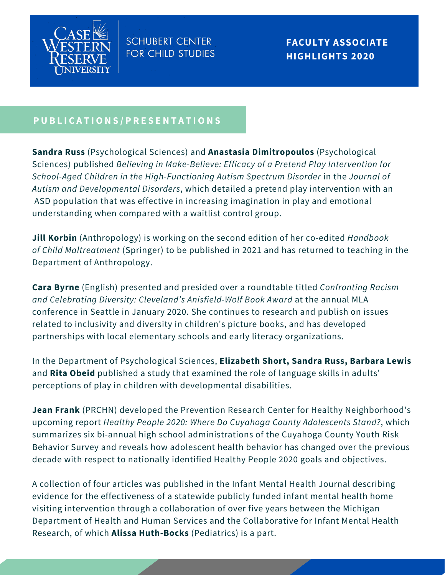

### PUBLICATIONS/PRESENTATIONS

**Sandra Russ** (Psychological Sciences) and **Anastasia Dimitropoulos** (Psychological Sciences) published *Believing in Make-Believe: Efficacy of a Pretend Play Intervention for School-Aged Children in the High-Functioning Autism Spectrum Disorder* in the *Journal of Autism and Developmental Disorders*, which detailed a pretend play intervention with an ASD population that was effective in increasing imagination in play and emotional understanding when compared with a waitlist control group.

**Jill Korbin** (Anthropology) is working on the second edition of her co-edited *Handbook of Child Maltreatment* (Springer) to be published in 2021 and has returned to teaching in the Department of Anthropology.

**Cara Byrne** (English) presented and presided over a roundtable titled *Confronting Racism and Celebrating Diversity: Cleveland's Anisfield-Wolf Book Award* at the annual MLA conference in Seattle in January 2020. She continues to research and publish on issues related to inclusivity and diversity in children's picture books, and has developed partnerships with local elementary schools and early literacy organizations.

In the Department of Psychological Sciences, **Elizabeth Short, Sandra Russ, Barbara Lewis** and **Rita Obeid** published a study that examined the role of language skills in adults' perceptions of play in children with developmental disabilities.

**Jean Frank** (PRCHN) developed the Prevention Research Center for Healthy Neighborhood's upcoming report *Healthy People 2020: Where Do Cuyahoga County Adolescents Stand?*, which summarizes six bi-annual high school administrations of the Cuyahoga County Youth Risk Behavior Survey and reveals how adolescent health behavior has changed over the previous decade with respect to nationally identified Healthy People 2020 goals and objectives.

A collection of four articles was published in the Infant Mental Health Journal describing evidence for the effectiveness of a statewide publicly funded infant mental health home visiting intervention through a collaboration of over five years between the Michigan Department of Health and Human Services and the Collaborative for Infant Mental Health Research, of which **Alissa Huth-Bocks** (Pediatrics) is a part.